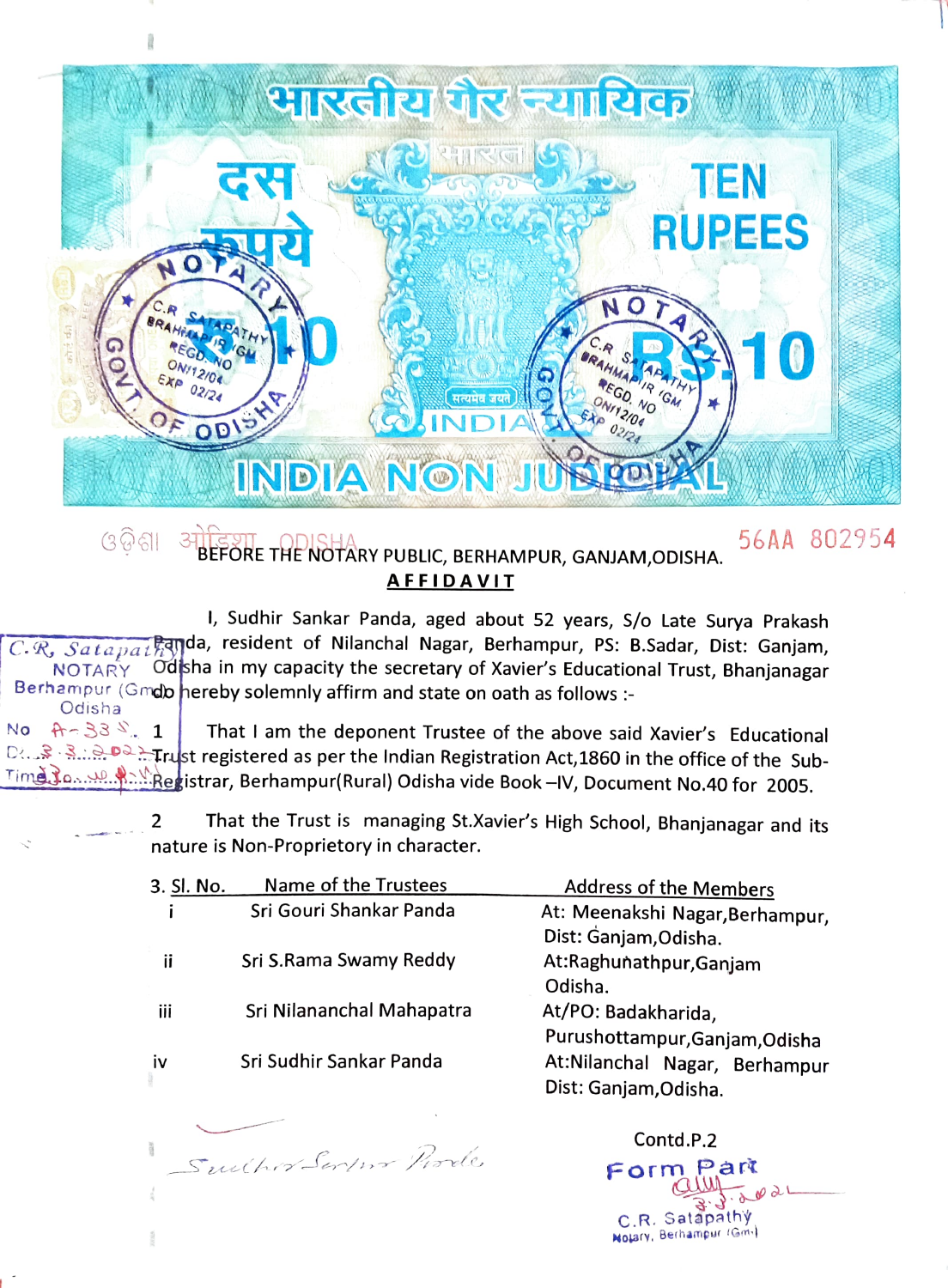

## *G* **GIL BEFÖRE THE NOTARY PUBLIC, BERHAMPUR, GANJAM, ODISHA. 56AA 802954 AFFIDAVIT**

 $\overline{C\mathcal{R}}$ ,  $\overline{Satapat}$ ,  $\overline{R}$ qyda, resident of Nilanchal Nagar, Berhampur, PS: B.Sadar, Dist: Ganjam, NOTARY I, Sudhir Sankar Panda, aged about 52 years, S/o Late Surya Prakash Berhampur (Gmdb hereby solemnly affirm and state on oath as follows :-Odsha in my capacity the secretary of Xavier's Educational Trust, Bhanjanagar

Odisha<br> $A - 33 S$ , 1 That I am the deponent Trustee of the above said Xavier's Educational D Trust registered as per the Indian Registration Act, 1860 in the office of the Sub-Time Jo. M. Registrar, Berhampur(Rural) Odisha vide Book -IV, Document No.40 for 2005. No

> That the Trust is managing St.Xavier's High School, Bhanjanagar and its 2 nature is Non-Proprietory in character.

| 3. Sl. No. | Name of the Trustees      | <b>Address of the Members</b>   |
|------------|---------------------------|---------------------------------|
|            | Sri Gouri Shankar Panda   | At: Meenakshi Nagar, Berhampur, |
|            |                           | Dist: Ganjam, Odisha.           |
| ii         | Sri S.Rama Swamy Reddy    | At:Raghunathpur, Ganjam         |
|            |                           | Odisha.                         |
| iii        | Sri Nilananchal Mahapatra | At/PO: Badakharida,             |
|            |                           | Purushottampur, Ganjam, Odisha  |
| iv         | Sri Sudhir Sankar Panda   | At:Nilanchal Nagar, Berhampur   |
|            |                           | Dist: Ganjam, Odisha.           |
|            |                           |                                 |
|            |                           | Contd.P.2                       |

Form Part

C.R. Satapathy

Sulhor Servir Prode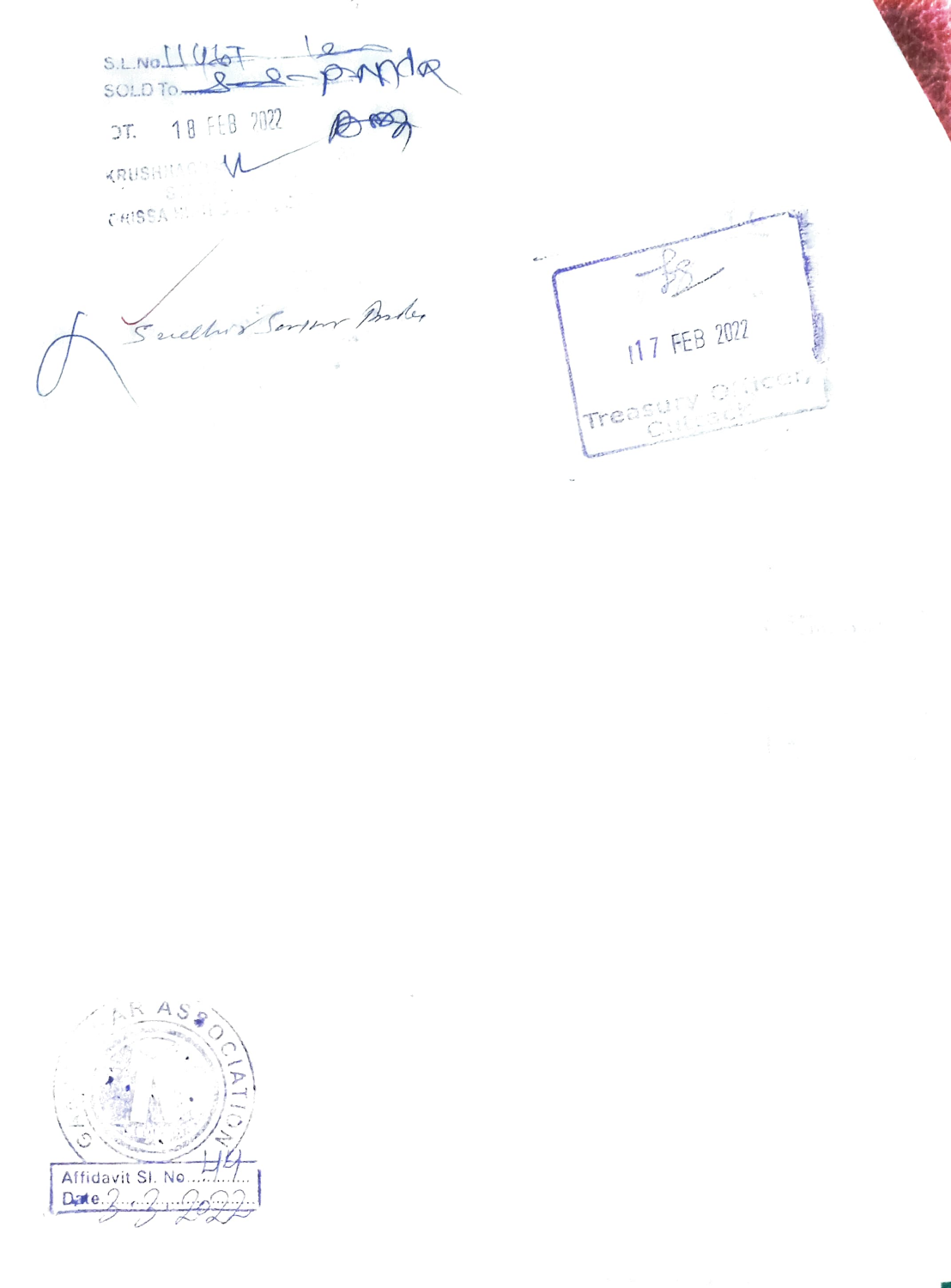S.L.No. 11 UdoF  $\sqrt{a}$  $2e$ DT. 18 FEB 2022 KRUSHMACH V 

Suelles Bergen Porter

117 FEB 2022  $\frac{1}{2}$ Treasy

Affidavit SI. No... Date  $2.2.2.$ 

 $\rightarrow$